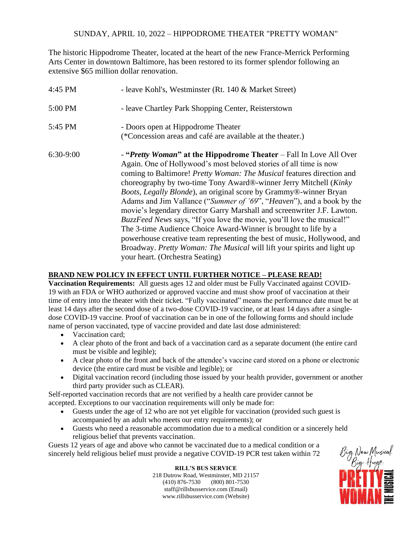## SUNDAY, APRIL 10, 2022 – HIPPODROME THEATER "PRETTY WOMAN"

The historic Hippodrome Theater, located at the heart of the new France-Merrick Performing Arts Center in downtown Baltimore, has been restored to its former splendor following an extensive \$65 million dollar renovation.

| 4:45 PM     | - leave Kohl's, Westminster (Rt. 140 & Market Street)                                                                                                                                                                                                                                                                                                                                                                                                                                                                                                                                                                                                                                                                                                                                                                                                      |
|-------------|------------------------------------------------------------------------------------------------------------------------------------------------------------------------------------------------------------------------------------------------------------------------------------------------------------------------------------------------------------------------------------------------------------------------------------------------------------------------------------------------------------------------------------------------------------------------------------------------------------------------------------------------------------------------------------------------------------------------------------------------------------------------------------------------------------------------------------------------------------|
| 5:00 PM     | - leave Chartley Park Shopping Center, Reisterstown                                                                                                                                                                                                                                                                                                                                                                                                                                                                                                                                                                                                                                                                                                                                                                                                        |
| 5:45 PM     | - Doors open at Hippodrome Theater<br>(*Concession areas and café are available at the theater.)                                                                                                                                                                                                                                                                                                                                                                                                                                                                                                                                                                                                                                                                                                                                                           |
| $6:30-9:00$ | - "Pretty Woman" at the Hippodrome Theater – Fall In Love All Over<br>Again. One of Hollywood's most beloved stories of all time is now<br>coming to Baltimore! Pretty Woman: The Musical features direction and<br>choreography by two-time Tony Award®-winner Jerry Mitchell (Kinky<br>Boots, Legally Blonde), an original score by Grammy®-winner Bryan<br>Adams and Jim Vallance ("Summer of '69", "Heaven"), and a book by the<br>movie's legendary director Garry Marshall and screenwriter J.F. Lawton.<br><i>BuzzFeed News</i> says, "If you love the movie, you'll love the musical!"<br>The 3-time Audience Choice Award-Winner is brought to life by a<br>powerhouse creative team representing the best of music, Hollywood, and<br>Broadway. Pretty Woman: The Musical will lift your spirits and light up<br>your heart. (Orchestra Seating) |

## **BRAND NEW POLICY IN EFFECT UNTIL FURTHER NOTICE – PLEASE READ!**

**Vaccination Requirements:** All guests ages 12 and older must be Fully Vaccinated against COVID-19 with an FDA or WHO authorized or approved vaccine and must show proof of vaccination at their time of entry into the theater with their ticket. "Fully vaccinated" means the performance date must be at least 14 days after the second dose of a two-dose COVID-19 vaccine, or at least 14 days after a singledose COVID-19 vaccine. Proof of vaccination can be in one of the following forms and should include name of person vaccinated, type of vaccine provided and date last dose administered:

- Vaccination card:
- A clear photo of the front and back of a vaccination card as a separate document (the entire card must be visible and legible);
- A clear photo of the front and back of the attendee's vaccine card stored on a phone or electronic device (the entire card must be visible and legible); or
- Digital vaccination record (including those issued by your health provider, government or another third party provider such as CLEAR).

Self-reported vaccination records that are not verified by a health care provider cannot be accepted. Exceptions to our vaccination requirements will only be made for:

- Guests under the age of 12 who are not yet eligible for vaccination (provided such guest is accompanied by an adult who meets our entry requirements); or
- Guests who need a reasonable accommodation due to a medical condition or a sincerely held religious belief that prevents vaccination.

Guests 12 years of age and above who cannot be vaccinated due to a medical condition or a sincerely held religious belief must provide a negative COVID-19 PCR test taken within 72

> **RILL'S BUS SERVICE** 218 Dutrow Road, Westminster, MD 21157 (410) 876-7530 (800) 801-7530 staff@rillsbusservice.com (Email) www.rillsbusservice.com (Website)